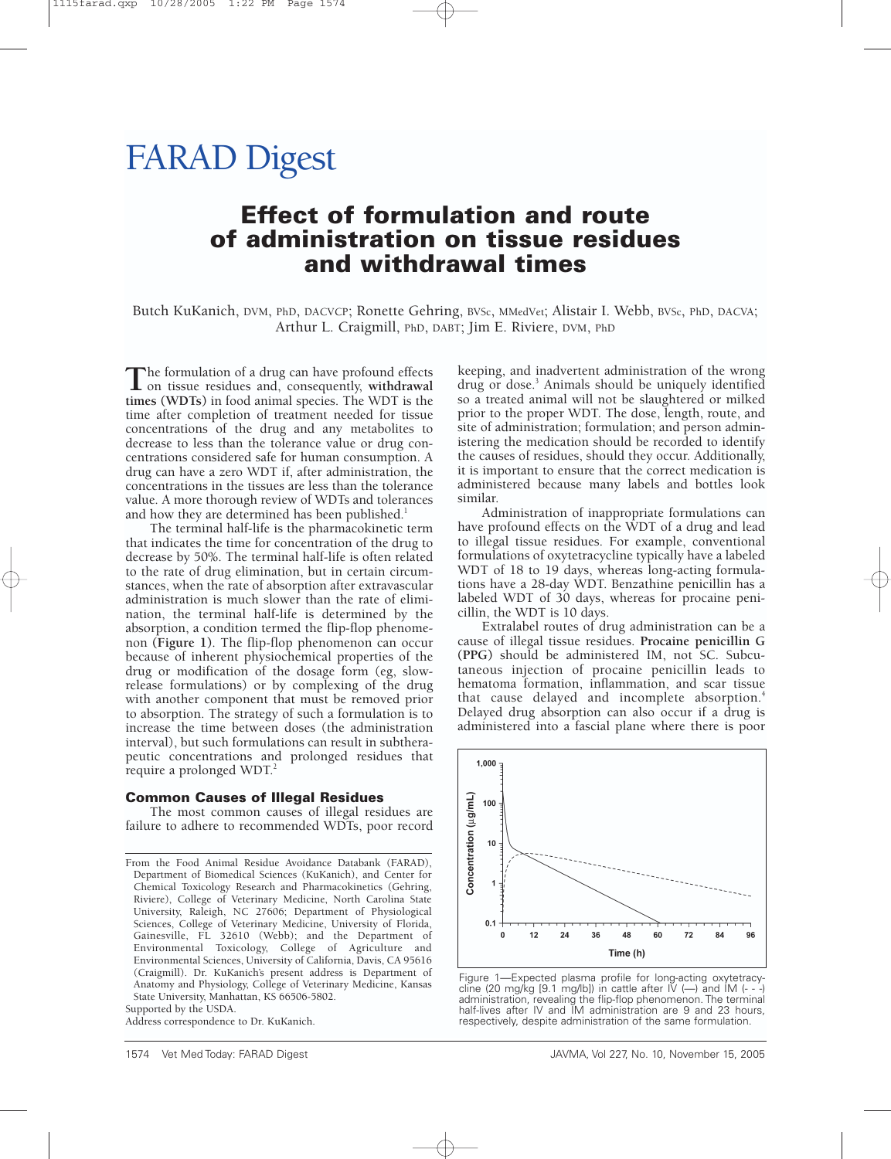# FARAD Digest

## **Effect of formulation and route of administration on tissue residues and withdrawal times**

Butch KuKanich, DVM, PhD, DACVCP; Ronette Gehring, BVSc, MMedVet; Alistair I. Webb, BVSc, PhD, DACVA; Arthur L. Craigmill, PhD, DABT; Jim E. Riviere, DVM, PhD

The formulation of a drug can have profound effects<br>on tissue residues and, consequently, **withdrawal**<br>times (WDTe) in feed grimpl masses. The WDT is the **times (WDTs)** in food animal species. The WDT is the time after completion of treatment needed for tissue concentrations of the drug and any metabolites to decrease to less than the tolerance value or drug concentrations considered safe for human consumption. A drug can have a zero WDT if, after administration, the concentrations in the tissues are less than the tolerance value. A more thorough review of WDTs and tolerances and how they are determined has been published.<sup>1</sup>

The terminal half-life is the pharmacokinetic term that indicates the time for concentration of the drug to decrease by 50%. The terminal half-life is often related to the rate of drug elimination, but in certain circumstances, when the rate of absorption after extravascular administration is much slower than the rate of elimination, the terminal half-life is determined by the absorption, a condition termed the flip-flop phenomenon **(Figure 1)**. The flip-flop phenomenon can occur because of inherent physiochemical properties of the drug or modification of the dosage form (eg, slowrelease formulations) or by complexing of the drug with another component that must be removed prior to absorption. The strategy of such a formulation is to increase the time between doses (the administration interval), but such formulations can result in subtherapeutic concentrations and prolonged residues that require a prolonged WDT.<sup>2</sup>

#### **Common Causes of Illegal Residues**

The most common causes of illegal residues are failure to adhere to recommended WDTs, poor record

Supported by the USDA.

Address correspondence to Dr. KuKanich.

keeping, and inadvertent administration of the wrong drug or dose.<sup>3</sup> Animals should be uniquely identified so a treated animal will not be slaughtered or milked prior to the proper WDT. The dose, length, route, and site of administration; formulation; and person administering the medication should be recorded to identify the causes of residues, should they occur. Additionally, it is important to ensure that the correct medication is administered because many labels and bottles look similar.

Administration of inappropriate formulations can have profound effects on the WDT of a drug and lead to illegal tissue residues. For example, conventional formulations of oxytetracycline typically have a labeled WDT of 18 to 19 days, whereas long-acting formulations have a 28-day WDT. Benzathine penicillin has a labeled WDT of 30 days, whereas for procaine penicillin, the WDT is 10 days.

Extralabel routes of drug administration can be a cause of illegal tissue residues. **Procaine penicillin G (PPG)** should be administered IM, not SC. Subcutaneous injection of procaine penicillin leads to hematoma formation, inflammation, and scar tissue that cause delayed and incomplete absorption.<sup>4</sup> Delayed drug absorption can also occur if a drug is administered into a fascial plane where there is poor



Figure 1—Expected plasma profile for long-acting oxytetracycline (20 mg/kg [9.1 mg/lb]) in cattle after  $\overline{V}$  (--) and  $\overline{M}$  (---) administration, revealing the flip-flop phenomenon. The terminal half-lives after IV and IM administration are 9 and 23 hours, respectively, despite administration of the same formulation.

From the Food Animal Residue Avoidance Databank (FARAD), Department of Biomedical Sciences (KuKanich), and Center for Chemical Toxicology Research and Pharmacokinetics (Gehring, Riviere), College of Veterinary Medicine, North Carolina State University, Raleigh, NC 27606; Department of Physiological Sciences, College of Veterinary Medicine, University of Florida, Gainesville, FL 32610 (Webb); and the Department of Environmental Toxicology, College of Agriculture and Environmental Sciences, University of California, Davis, CA 95616 (Craigmill). Dr. KuKanich's present address is Department of Anatomy and Physiology, College of Veterinary Medicine, Kansas State University, Manhattan, KS 66506-5802.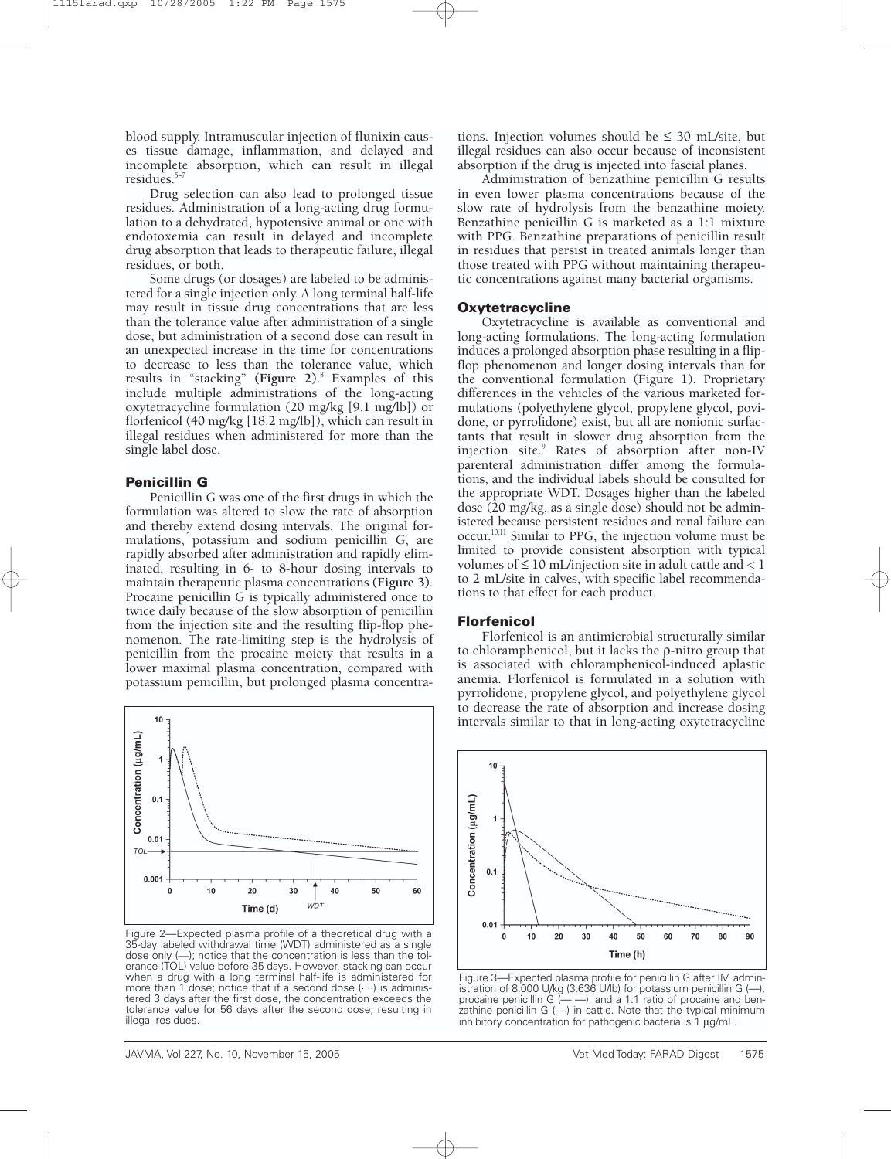blood supply. Intramuscular injection of flunixin causes tissue damage, inflammation, and delayed and incomplete absorption, which can result in illegal residues. $5-$ 

Drug selection can also lead to prolonged tissue residues. Administration of a long-acting drug formulation to a dehydrated, hypotensive animal or one with endotoxemia can result in delayed and incomplete drug absorption that leads to therapeutic failure, illegal residues, or both.

Some drugs (or dosages) are labeled to be administered for a single injection only. A long terminal half-life may result in tissue drug concentrations that are less than the tolerance value after administration of a single dose, but administration of a second dose can result in an unexpected increase in the time for concentrations to decrease to less than the tolerance value, which results in "stacking" **(Figure 2)**. <sup>8</sup> Examples of this include multiple administrations of the long-acting oxytetracycline formulation (20 mg/kg [9.1 mg/lb]) or florfenicol (40 mg/kg [18.2 mg/lb]), which can result in illegal residues when administered for more than the single label dose.

#### **Penicillin G**

Penicillin G was one of the first drugs in which the formulation was altered to slow the rate of absorption and thereby extend dosing intervals. The original formulations, potassium and sodium penicillin G, are rapidly absorbed after administration and rapidly eliminated, resulting in 6- to 8-hour dosing intervals to maintain therapeutic plasma concentrations **(Figure 3)**. Procaine penicillin G is typically administered once to twice daily because of the slow absorption of penicillin from the injection site and the resulting flip-flop phenomenon. The rate-limiting step is the hydrolysis of penicillin from the procaine moiety that results in a lower maximal plasma concentration, compared with potassium penicillin, but prolonged plasma concentra-



Figure 2—Expected plasma profile of a theoretical drug with a 35-day labeled withdrawal time (WDT) administered as a single dose only (—); notice that the concentration is less than the tol-erance (TOL) value before 35 days. However, stacking can occur when a drug with a long terminal half-life is administered for more than 1 dose; notice that if a second dose  $(\dots)$  is administered 3 days after the first dose, the concentration exceeds the tolerance value for 56 days after the second dose, resulting in illegal residues.

tions. Injection volumes should be  $\leq 30$  mL/site, but illegal residues can also occur because of inconsistent absorption if the drug is injected into fascial planes.

Administration of benzathine penicillin G results in even lower plasma concentrations because of the slow rate of hydrolysis from the benzathine moiety. Benzathine penicillin G is marketed as a 1:1 mixture with PPG. Benzathine preparations of penicillin result in residues that persist in treated animals longer than those treated with PPG without maintaining therapeutic concentrations against many bacterial organisms.

#### **Oxytetracycline**

Oxytetracycline is available as conventional and long-acting formulations. The long-acting formulation induces a prolonged absorption phase resulting in a flipflop phenomenon and longer dosing intervals than for the conventional formulation (Figure 1). Proprietary differences in the vehicles of the various marketed formulations (polyethylene glycol, propylene glycol, povidone, or pyrrolidone) exist, but all are nonionic surfactants that result in slower drug absorption from the injection site.<sup>9</sup> Rates of absorption after non-IV parenteral administration differ among the formulations, and the individual labels should be consulted for the appropriate WDT. Dosages higher than the labeled dose (20 mg/kg, as a single dose) should not be administered because persistent residues and renal failure can occur.10,11 Similar to PPG, the injection volume must be limited to provide consistent absorption with typical volumes of ≤ 10 mL/injection site in adult cattle and < 1 to 2 mL/site in calves, with specific label recommendations to that effect for each product.

#### **Florfenicol**

Florfenicol is an antimicrobial structurally similar to chloramphenicol, but it lacks the ρ-nitro group that is associated with chloramphenicol-induced aplastic anemia. Florfenicol is formulated in a solution with pyrrolidone, propylene glycol, and polyethylene glycol to decrease the rate of absorption and increase dosing intervals similar to that in long-acting oxytetracycline



Figure 3—Expected plasma profile for penicillin G after IM administration of 8,000 U/kg (3,636 U/lb) for potassium penicillin G (procaine penicillin  $G$   $\leftarrow$   $-$ ), and a 1:1 ratio of procaine and benzathine penicillin  $G(\cdots)$  in cattle. Note that the typical minimum inhibitory concentration for pathogenic bacteria is 1 µg/mL.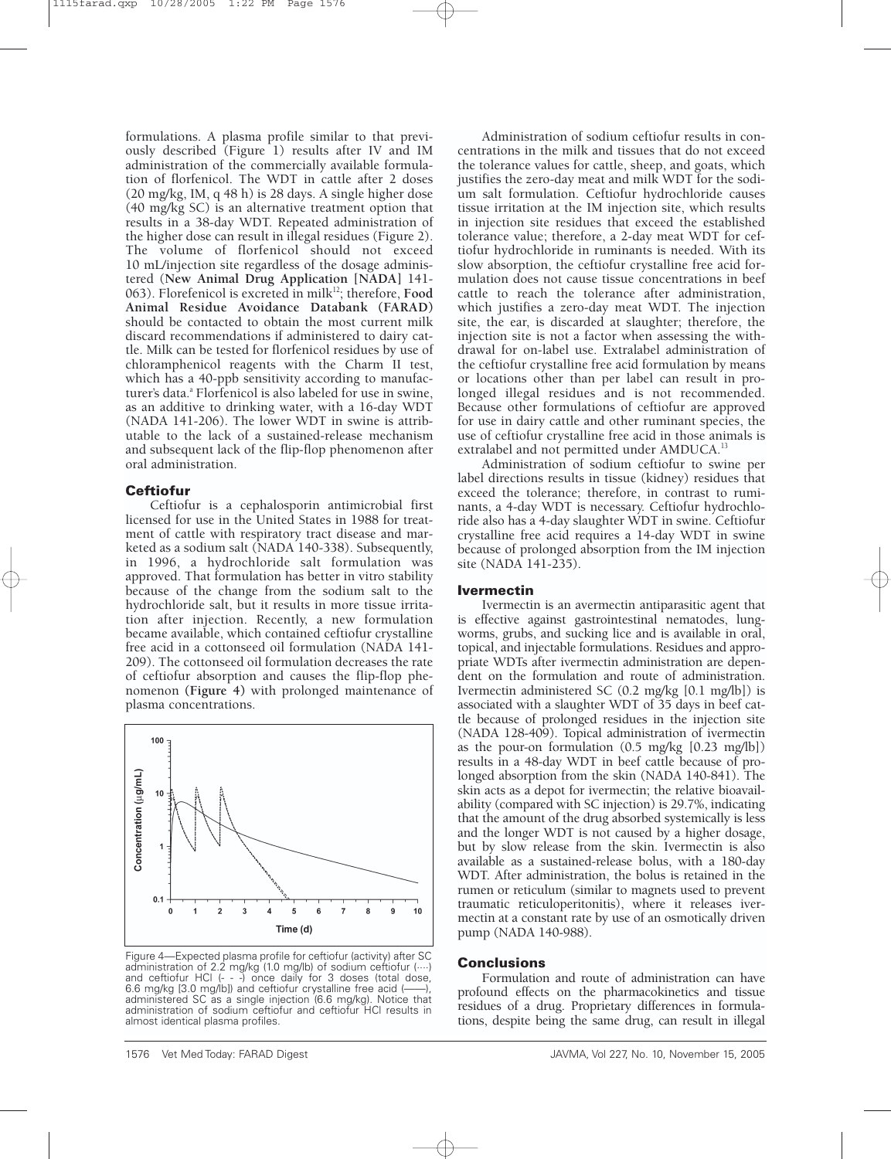formulations. A plasma profile similar to that previously described (Figure 1) results after IV and IM administration of the commercially available formulation of florfenicol. The WDT in cattle after 2 doses (20 mg/kg, IM, q 48 h) is 28 days. A single higher dose (40 mg/kg SC) is an alternative treatment option that results in a 38-day WDT. Repeated administration of the higher dose can result in illegal residues (Figure 2). The volume of florfenicol should not exceed 10 mL/injection site regardless of the dosage administered (**New Animal Drug Application [NADA]** 141- 063). Florefenicol is excreted in milk<sup>12</sup>; therefore, Food **Animal Residue Avoidance Databank (FARAD)** should be contacted to obtain the most current milk discard recommendations if administered to dairy cattle. Milk can be tested for florfenicol residues by use of chloramphenicol reagents with the Charm II test, which has a 40-ppb sensitivity according to manufacturer's data.<sup>a</sup> Florfenicol is also labeled for use in swine, as an additive to drinking water, with a 16-day WDT (NADA 141-206). The lower WDT in swine is attributable to the lack of a sustained-release mechanism and subsequent lack of the flip-flop phenomenon after oral administration.

### **Ceftiofur**

Ceftiofur is a cephalosporin antimicrobial first licensed for use in the United States in 1988 for treatment of cattle with respiratory tract disease and marketed as a sodium salt (NADA 140-338). Subsequently, in 1996, a hydrochloride salt formulation was approved. That formulation has better in vitro stability because of the change from the sodium salt to the hydrochloride salt, but it results in more tissue irritation after injection. Recently, a new formulation became available, which contained ceftiofur crystalline free acid in a cottonseed oil formulation (NADA 141- 209). The cottonseed oil formulation decreases the rate of ceftiofur absorption and causes the flip-flop phenomenon **(Figure 4)** with prolonged maintenance of plasma concentrations.



Figure 4—Expected plasma profile for ceftiofur (activity) after SC administration of 2.2 mg/kg (1.0 mg/lb) of sodium ceftiofur (····) and ceftiofur HCl (- - -) once daily for 3 doses (total dose, 6.6 mg/kg [3.0 mg/lb]) and ceftiofur crystalline free acid (——), administered SC as a single injection (6.6 mg/kg). Notice that administration of sodium ceftiofur and ceftiofur HCl results in almost identical plasma profiles.

Administration of sodium ceftiofur results in concentrations in the milk and tissues that do not exceed the tolerance values for cattle, sheep, and goats, which justifies the zero-day meat and milk WDT for the sodium salt formulation. Ceftiofur hydrochloride causes tissue irritation at the IM injection site, which results in injection site residues that exceed the established tolerance value; therefore, a 2-day meat WDT for ceftiofur hydrochloride in ruminants is needed. With its slow absorption, the ceftiofur crystalline free acid formulation does not cause tissue concentrations in beef cattle to reach the tolerance after administration, which justifies a zero-day meat WDT. The injection site, the ear, is discarded at slaughter; therefore, the injection site is not a factor when assessing the withdrawal for on-label use. Extralabel administration of the ceftiofur crystalline free acid formulation by means or locations other than per label can result in prolonged illegal residues and is not recommended. Because other formulations of ceftiofur are approved for use in dairy cattle and other ruminant species, the use of ceftiofur crystalline free acid in those animals is extralabel and not permitted under AMDUCA.<sup>13</sup>

Administration of sodium ceftiofur to swine per label directions results in tissue (kidney) residues that exceed the tolerance; therefore, in contrast to ruminants, a 4-day WDT is necessary. Ceftiofur hydrochloride also has a 4-day slaughter WDT in swine. Ceftiofur crystalline free acid requires a 14-day WDT in swine because of prolonged absorption from the IM injection site (NADA 141-235).

#### **Ivermectin**

Ivermectin is an avermectin antiparasitic agent that is effective against gastrointestinal nematodes, lungworms, grubs, and sucking lice and is available in oral, topical, and injectable formulations. Residues and appropriate WDTs after ivermectin administration are dependent on the formulation and route of administration. Ivermectin administered SC (0.2 mg/kg [0.1 mg/lb]) is associated with a slaughter WDT of 35 days in beef cattle because of prolonged residues in the injection site (NADA 128-409). Topical administration of ivermectin as the pour-on formulation (0.5 mg/kg [0.23 mg/lb]) results in a 48-day WDT in beef cattle because of prolonged absorption from the skin (NADA 140-841). The skin acts as a depot for ivermectin; the relative bioavailability (compared with SC injection) is 29.7%, indicating that the amount of the drug absorbed systemically is less and the longer WDT is not caused by a higher dosage, but by slow release from the skin. Ivermectin is also available as a sustained-release bolus, with a 180-day WDT. After administration, the bolus is retained in the rumen or reticulum (similar to magnets used to prevent traumatic reticuloperitonitis), where it releases ivermectin at a constant rate by use of an osmotically driven pump (NADA 140-988).

#### **Conclusions**

Formulation and route of administration can have profound effects on the pharmacokinetics and tissue residues of a drug. Proprietary differences in formulations, despite being the same drug, can result in illegal